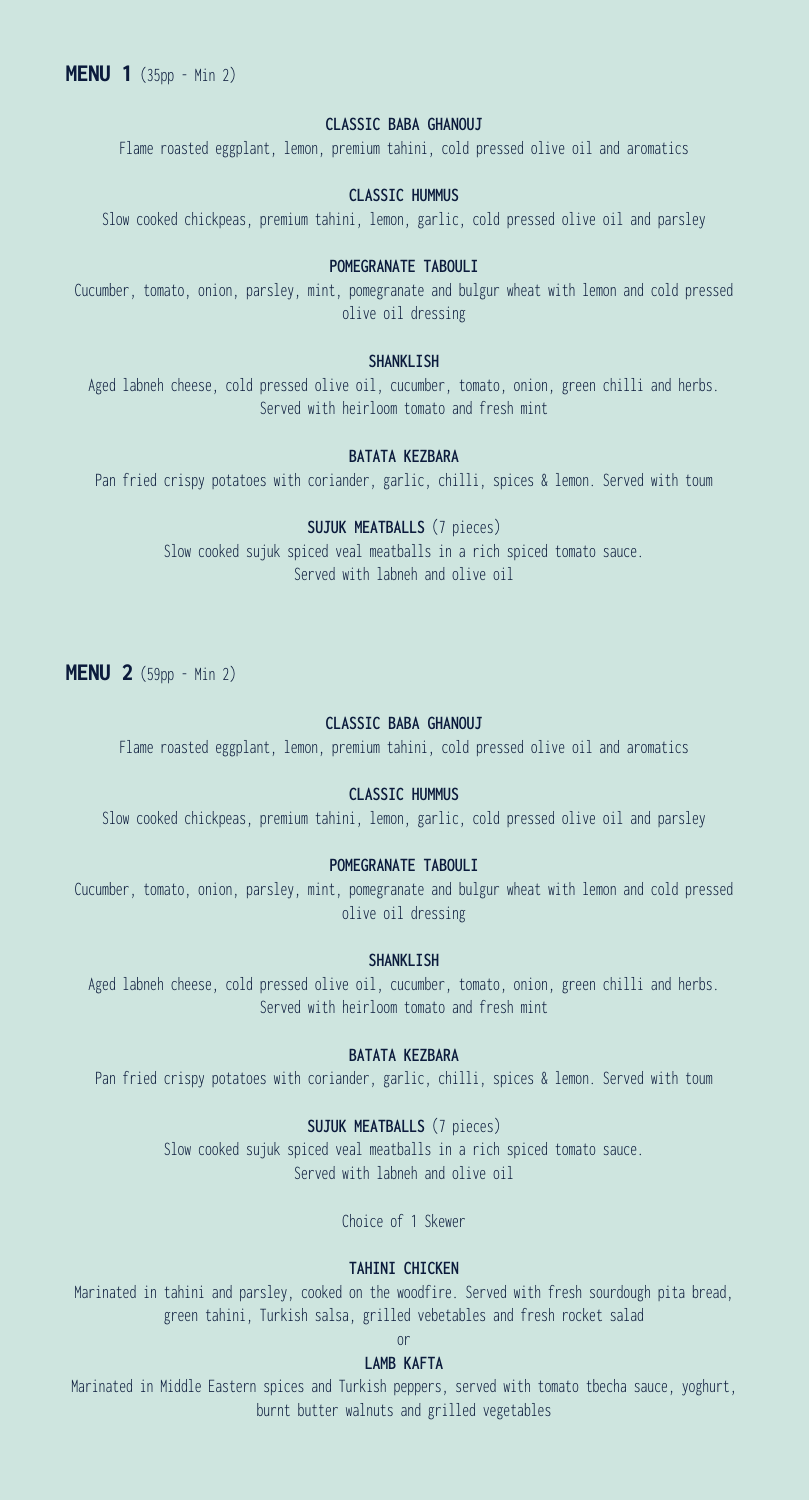# **CLASSIC BABA GHANOUJ**

Flame roasted eggplant, lemon, premium tahini, cold pressed olive oil and aromatics

## **CLASSIC HUMMUS**

Slow cooked chickpeas, premium tahini, lemon, garlic, cold pressed olive oil and parsley

## **POMEGRANATE TABOULI**

Cucumber, tomato, onion, parsley, mint, pomegranate and bulgur wheat with lemon and cold pressed olive oil dressing

## **SHANKLISH**

Aged labneh cheese, cold pressed olive oil, cucumber, tomato, onion, green chilli and herbs. Served with heirloom tomato and fresh mint

## **BATATA KEZBARA**

Pan fried crispy potatoes with coriander, garlic, chilli, spices & lemon. Served with toum

# **SUJUK MEATBALLS** (7 pieces)

Slow cooked sujuk spiced veal meatballs in a rich spiced tomato sauce. Served with labneh and olive oil

**MENU 2** (59pp - Min 2)

## **CLASSIC BABA GHANOUJ**

Flame roasted eggplant, lemon, premium tahini, cold pressed olive oil and aromatics

# **CLASSIC HUMMUS**

Slow cooked chickpeas, premium tahini, lemon, garlic, cold pressed olive oil and parsley

# **POMEGRANATE TABOULI**

Cucumber, tomato, onion, parsley, mint, pomegranate and bulgur wheat with lemon and cold pressed olive oil dressing

#### **SHANKLISH**

Aged labneh cheese, cold pressed olive oil, cucumber, tomato, onion, green chilli and herbs. Served with heirloom tomato and fresh mint

#### **BATATA KEZBARA**

Pan fried crispy potatoes with coriander, garlic, chilli, spices & lemon. Served with toum

# **SUJUK MEATBALLS** (7 pieces)

Slow cooked sujuk spiced veal meatballs in a rich spiced tomato sauce. Served with labneh and olive oil

Choice of 1 Skewer

## **TAHINI CHICKEN**

Marinated in tahini and parsley, cooked on the woodfire. Served with fresh sourdough pita bread, green tahini, Turkish salsa, grilled vebetables and fresh rocket salad

# or

#### **LAMB KAFTA**

Marinated in Middle Eastern spices and Turkish peppers, served with tomato tbecha sauce, yoghurt, burnt butter walnuts and grilled vegetables